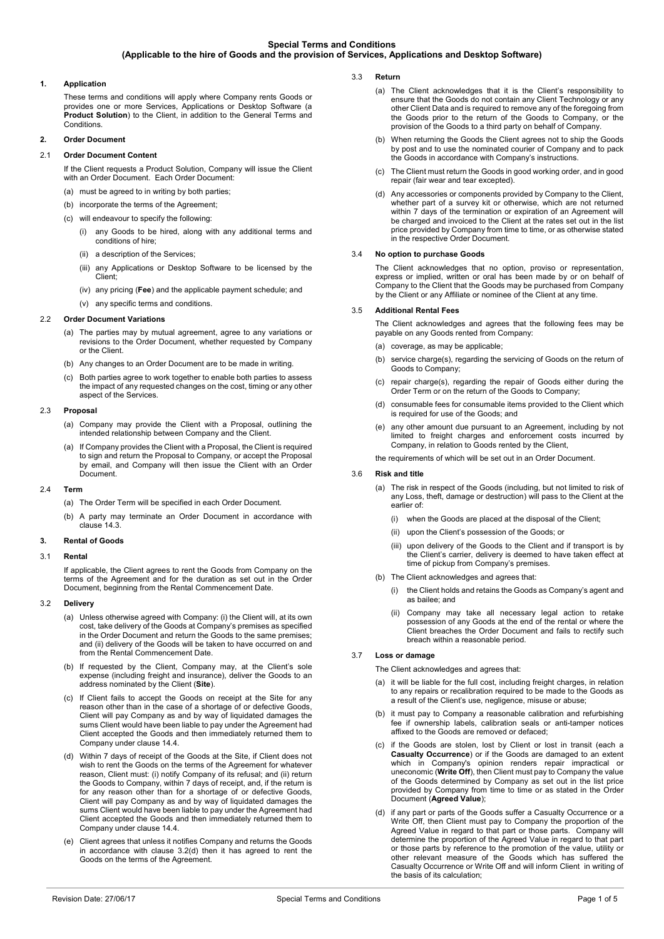## **1. Application**

These terms and conditions will apply where Company rents Goods or provides one or more Services, Applications or Desktop Software (a **Product Solution**) to the Client, in addition to the General Terms and Conditions.

## **2. Order Document**

## 2.1 **Order Document Content**

If the Client requests a Product Solution, Company will issue the Client with an Order Document. Each Order Document:

- (a) must be agreed to in writing by both parties;
- (b) incorporate the terms of the Agreement
- (c) will endeavour to specify the following:
	- (i) any Goods to be hired, along with any additional terms and conditions of hire;
	- (ii) a description of the Services;
	- (iii) any Applications or Desktop Software to be licensed by the Client;
	- (iv) any pricing (**Fee**) and the applicable payment schedule; and
	- (v) any specific terms and conditions.

## 2.2 **Order Document Variations**

- (a) The parties may by mutual agreement, agree to any variations or revisions to the Order Document, whether requested by Company or the Client.
- (b) Any changes to an Order Document are to be made in writing.
- (c) Both parties agree to work together to enable both parties to assess the impact of any requested changes on the cost, timing or any other aspect of the Services.

### 2.3 **Proposal**

- (a) Company may provide the Client with a Proposal, outlining the intended relationship between Company and the Client.
- If Company provides the Client with a Proposal, the Client is required to sign and return the Proposal to Company, or accept the Proposal by email, and Company will then issue the Client with an Order **Document**

### 2.4 **Term**

- (a) The Order Term will be specified in each Order Document.
- (b) A party may terminate an Order Document in accordance with clause [14.3.](#page-3-0)

## **3. Rental of Goods**

### 3.1 **Rental**

If applicable, the Client agrees to rent the Goods from Company on the terms of the Agreement and for the duration as set out in the Order Document, beginning from the Rental Commencement Date.

### 3.2 **Delivery**

- (a) Unless otherwise agreed with Company: (i) the Client will, at its own cost, take delivery of the Goods at Company's premises as specified in the Order Document and return the Goods to the same premises; and (ii) delivery of the Goods will be taken to have occurred on and from the Rental Commencement Date.
- (b) If requested by the Client, Company may, at the Client's sole expense (including freight and insurance), deliver the Goods to an address nominated by the Client (**Site**).
- (c) If Client fails to accept the Goods on receipt at the Site for any reason other than in the case of a shortage of or defective Goods, Client will pay Company as and by way of liquidated damages the sums Client would have been liable to pay under the Agreement had Client accepted the Goods and then immediately returned them to Company under clause [14.4.](#page-3-1)
- <span id="page-0-0"></span>(d) Within 7 days of receipt of the Goods at the Site, if Client does not wish to rent the Goods on the terms of the Agreement for whatever reason, Client must: (i) notify Company of its refusal; and (ii) return the Goods to Company, within 7 days of receipt, and, if the return is for any reason other than for a shortage of or defective Goods, Client will pay Company as and by way of liquidated damages the sums Client would have been liable to pay under the Agreement had Client accepted the Goods and then immediately returned them to Company under claus[e 14.4.](#page-3-1)
- (e) Client agrees that unless it notifies Company and returns the Goods in accordance with clause [3.2\(d\)](#page-0-0) then it has agreed to rent the Goods on the terms of the Agreement.
- 3.3 **Return** 
	- (a) The Client acknowledges that it is the Client's responsibility to ensure that the Goods do not contain any Client Technology or any other Client Data and is required to remove any of the foregoing from the Goods prior to the return of the Goods to Company, or the provision of the Goods to a third party on behalf of Company.
	- (b) When returning the Goods the Client agrees not to ship the Goods by post and to use the nominated courier of Company and to pack the Goods in accordance with Company's instructions.
	- (c) The Client must return the Goods in good working order, and in good repair (fair wear and tear excepted).
	- (d) Any accessories or components provided by Company to the Client, whether part of a survey kit or otherwise, which are not returned within 7 days of the termination or expiration of an Agreement will be charged and invoiced to the Client at the rates set out in the list price provided by Company from time to time, or as otherwise stated in the respective Order Document.

## <span id="page-0-3"></span>3.4 **No option to purchase Goods**

The Client acknowledges that no option, proviso or representation, express or implied, written or oral has been made by or on behalf of Company to the Client that the Goods may be purchased from Company by the Client or any Affiliate or nominee of the Client at any time.

## 3.5 **Additional Rental Fees**

The Client acknowledges and agrees that the following fees may be payable on any Goods rented from Company:

(a) coverage, as may be applicable;

- (b) service charge(s), regarding the servicing of Goods on the return of Goods to Company;
- (c) repair charge(s), regarding the repair of Goods either during the Order Term or on the return of the Goods to Company;
- (d) consumable fees for consumable items provided to the Client which is required for use of the Goods; and
- (e) any other amount due pursuant to an Agreement, including by not limited to freight charges and enforcement costs incurred by Company, in relation to Goods rented by the Client,

the requirements of which will be set out in an Order Document.

## 3.6 **Risk and title**

- (a) The risk in respect of the Goods (including, but not limited to risk of any Loss, theft, damage or destruction) will pass to the Client at the earlier of:
	- (i) when the Goods are placed at the disposal of the Client;
	- (ii) upon the Client's possession of the Goods; or
	- (iii) upon delivery of the Goods to the Client and if transport is by the Client's carrier, delivery is deemed to have taken effect at time of pickup from Company's premises.
- (b) The Client acknowledges and agrees that:
	- (i) the Client holds and retains the Goods as Company's agent and as bailee; and
	- (ii) Company may take all necessary legal action to retake possession of any Goods at the end of the rental or where the Client breaches the Order Document and fails to rectify such breach within a reasonable period.

## 3.7 **Loss or damage**

The Client acknowledges and agrees that:

- (a) it will be liable for the full cost, including freight charges, in relation to any repairs or recalibration required to be made to the Goods as a result of the Client's use, negligence, misuse or abuse;
- (b) it must pay to Company a reasonable calibration and refurbishing fee if ownership labels, calibration seals or anti-tamper notices affixed to the Goods are removed or defaced;
- <span id="page-0-1"></span>(c) if the Goods are stolen, lost by Client or lost in transit (each a **Casualty Occurrence**) or if the Goods are damaged to an extent which in Company's opinion renders repair impractical or uneconomic (**Write Off**), then Client must pay to Company the value of the Goods determined by Company as set out in the list price provided by Company from time to time or as stated in the Order Document (**Agreed Value**);
- <span id="page-0-2"></span>(d) if any part or parts of the Goods suffer a Casualty Occurrence or a Write Off, then Client must pay to Company the proportion of the Agreed Value in regard to that part or those parts. Company will determine the proportion of the Agreed Value in regard to that part or those parts by reference to the promotion of the value, utility or other relevant measure of the Goods which has suffered the Casualty Occurrence or Write Off and will inform Client in writing of the basis of its calculation;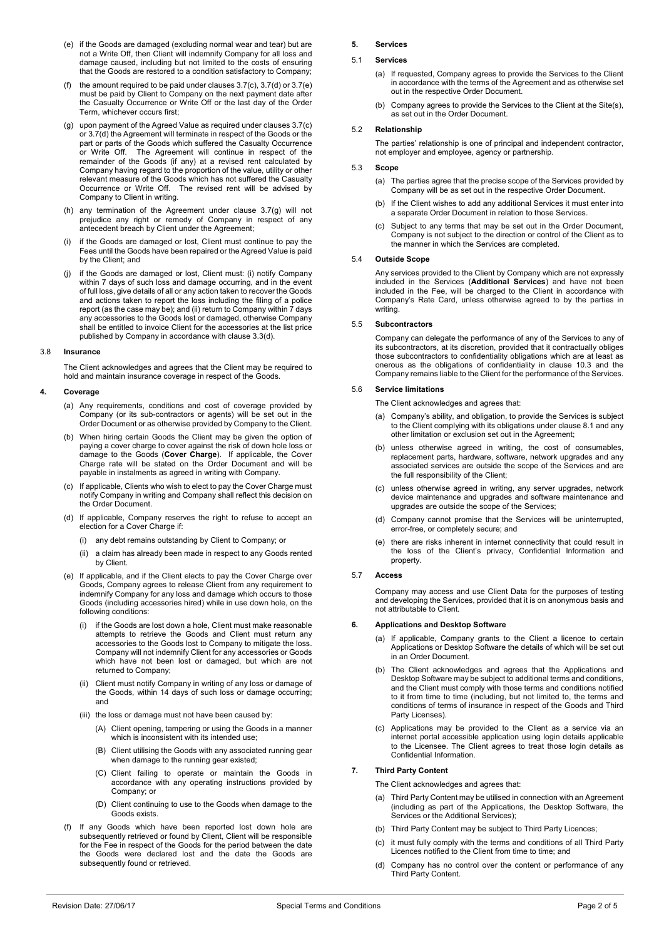- <span id="page-1-0"></span>(e) if the Goods are damaged (excluding normal wear and tear) but are not a Write Off, then Client will indemnify Company for all loss and damage caused, including but not limited to the costs of ensuring that the Goods are restored to a condition satisfactory to Company;
- (f) the amount required to be paid under clauses  $3.7(c)$ ,  $3.7(d)$  or  $3.7(e)$ must be paid by Client to Company on the next payment date after the Casualty Occurrence or Write Off or the last day of the Order Term, whichever occurs first;
- <span id="page-1-1"></span>(g) upon payment of the Agreed Value as required under clause[s 3.7\(c\)](#page-0-1) o[r 3.7\(d\)](#page-0-2) the Agreement will terminate in respect of the Goods or the part or parts of the Goods which suffered the Casualty Occurrence or Write Off. The Agreement will continue in respect of the remainder of the Goods (if any) at a revised rent calculated by Company having regard to the proportion of the value, utility or other relevant measure of the Goods which has not suffered the Casualty Occurrence or Write Off. The revised rent will be advised by Company to Client in writing.
- (h) any termination of the Agreement under clause [3.7\(g\)](#page-1-1) will not prejudice any right or remedy of Company in respect of any antecedent breach by Client under the Agreement;
- (i) if the Goods are damaged or lost, Client must continue to pay the Fees until the Goods have been repaired or the Agreed Value is paid by the Client; and
- <span id="page-1-2"></span>(j) if the Goods are damaged or lost, Client must: (i) notify Company within 7 days of such loss and damage occurring, and in the event of full loss, give details of all or any action taken to recover the Goods and actions taken to report the loss including the filing of a police report (as the case may be); and (ii) return to Company within 7 days any accessories to the Goods lost or damaged, otherwise Company shall be entitled to invoice Client for the accessories at the list price published by Company in accordance with claus[e 3.3\(d\).](#page-0-3)

#### 3.8 **Insurance**

The Client acknowledges and agrees that the Client may be required to hold and maintain insurance coverage in respect of the Goods.

#### **4. Coverage**

- (a) Any requirements, conditions and cost of coverage provided by Company (or its sub-contractors or agents) will be set out in the Order Document or as otherwise provided by Company to the Client.
- (b) When hiring certain Goods the Client may be given the option of paying a cover charge to cover against the risk of down hole loss or damage to the Goods (**Cover Charge**). If applicable, the Cover Charge rate will be stated on the Order Document and will be payable in instalments as agreed in writing with Company.
- (c) If applicable, Clients who wish to elect to pay the Cover Charge must notify Company in writing and Company shall reflect this decision on the Order Document.
- (d) If applicable, Company reserves the right to refuse to accept an election for a Cover Charge if:
	- (i) any debt remains outstanding by Client to Company; or
	- (ii) a claim has already been made in respect to any Goods rented by Client.
- (e) If applicable, and if the Client elects to pay the Cover Charge over Goods, Company agrees to release Client from any requirement to indemnify Company for any loss and damage which occurs to those Goods (including accessories hired) while in use down hole, on the following conditions:
	- (i) if the Goods are lost down a hole, Client must make reasonable attempts to retrieve the Goods and Client must return any accessories to the Goods lost to Company to mitigate the loss. Company will not indemnify Client for any accessories or Goods which have not been lost or damaged, but which are not returned to Company;
	- (ii) Client must notify Company in writing of any loss or damage of the Goods, within 14 days of such loss or damage occurring; and
	- (iii) the loss or damage must not have been caused by:
		- (A) Client opening, tampering or using the Goods in a manner which is inconsistent with its intended use;
		- (B) Client utilising the Goods with any associated running gear when damage to the running gear existed;
		- (C) Client failing to operate or maintain the Goods in accordance with any operating instructions provided by Company; or
		- (D) Client continuing to use to the Goods when damage to the Goods exists.
- (f) If any Goods which have been reported lost down hole are subsequently retrieved or found by Client, Client will be responsible for the Fee in respect of the Goods for the period between the date the Goods were declared lost and the date the Goods are subsequently found or retrieved.

## **5. Services**

## 5.1 **Services**

- (a) If requested, Company agrees to provide the Services to the Client in accordance with the terms of the Agreement and as otherwise set out in the respective Order Document.
- (b) Company agrees to provide the Services to the Client at the Site(s), as set out in the Order Document.

### 5.2 **Relationship**

The parties' relationship is one of principal and independent contractor, not employer and employee, agency or partnership.

#### 5.3 **Scope**

- (a) The parties agree that the precise scope of the Services provided by Company will be as set out in the respective Order Document.
- (b) If the Client wishes to add any additional Services it must enter into a separate Order Document in relation to those Services.
- (c) Subject to any terms that may be set out in the Order Document, Company is not subject to the direction or control of the Client as to the manner in which the Services are completed.

#### 5.4 **Outside Scope**

Any services provided to the Client by Company which are not expressly included in the Services (**Additional Services**) and have not been included in the Fee, will be charged to the Client in accordance with Company's Rate Card, unless otherwise agreed to by the parties in writing.

#### 5.5 **Subcontractors**

Company can delegate the performance of any of the Services to any of its subcontractors, at its discretion, provided that it contractually obliges those subcontractors to confidentiality obligations which are at least as onerous as the obligations of confidentiality in clause [10.3](#page-2-0) and the Company remains liable to the Client for the performance of the Services.

## 5.6 **Service limitations**

- The Client acknowledges and agrees that:
- (a) Company's ability, and obligation, to provide the Services is subject to the Client complying with its obligations under claus[e 8.1](#page-2-1) and any other limitation or exclusion set out in the Agreement;
- (b) unless otherwise agreed in writing, the cost of consumables, replacement parts, hardware, software, network upgrades and any associated services are outside the scope of the Services and are the full responsibility of the Client;
- (c) unless otherwise agreed in writing, any server upgrades, network device maintenance and upgrades and software maintenance and upgrades are outside the scope of the Services;
- (d) Company cannot promise that the Services will be uninterrupted, error-free, or completely secure; and
- (e) there are risks inherent in internet connectivity that could result in the loss of the Client's privacy, Confidential Information and property.

### 5.7 **Access**

Company may access and use Client Data for the purposes of testing and developing the Services, provided that it is on anonymous basis and not attributable to Client.

### **6. Applications and Desktop Software**

- (a) If applicable, Company grants to the Client a licence to certain Applications or Desktop Software the details of which will be set out in an Order Document.
- (b) The Client acknowledges and agrees that the Applications and Desktop Software may be subject to additional terms and conditions, and the Client must comply with those terms and conditions notified to it from time to time (including, but not limited to, the terms and conditions of terms of insurance in respect of the Goods and Third Party Licenses).
- (c) Applications may be provided to the Client as a service via an internet portal accessible application using login details applicable to the Licensee. The Client agrees to treat those login details as Confidential Information.

## **7. Third Party Content**

The Client acknowledges and agrees that:

- (a) Third Party Content may be utilised in connection with an Agreement (including as part of the Applications, the Desktop Software, the Services or the Additional Services);
- (b) Third Party Content may be subject to Third Party Licences;
- (c) it must fully comply with the terms and conditions of all Third Party Licences notified to the Client from time to time; and
- (d) Company has no control over the content or performance of any Third Party Content.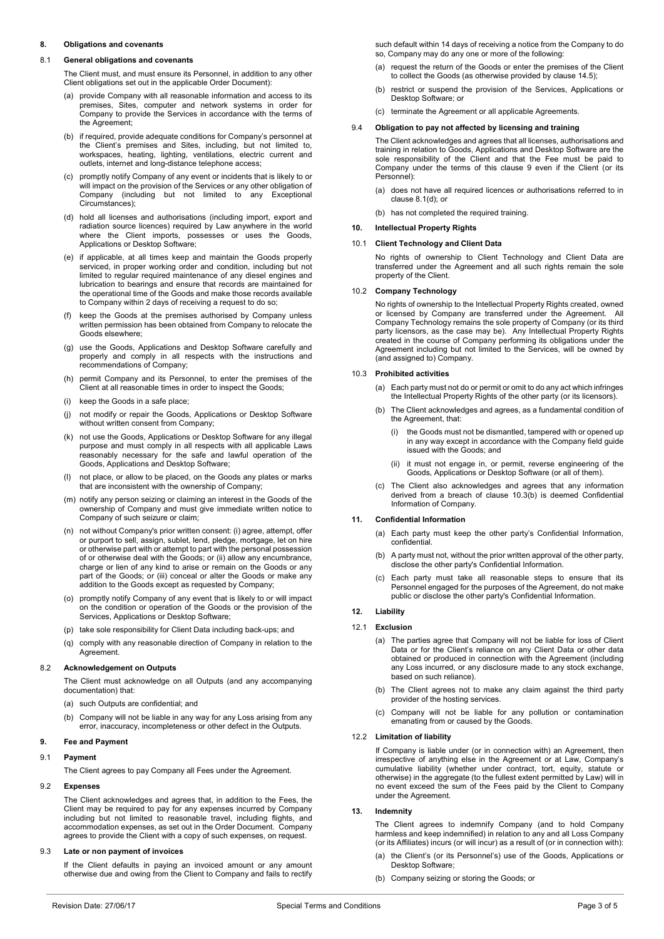## **8. Obligations and covenants**

# <span id="page-2-1"></span>8.1 **General obligations and covenants**

The Client must, and must ensure its Personnel, in addition to any other Client obligations set out in the applicable Order Document):

- (a) provide Company with all reasonable information and access to its premises, Sites, computer and network systems in order for Company to provide the Services in accordance with the terms of the Agreement;
- (b) if required, provide adequate conditions for Company's personnel at the Client's premises and Sites, including, but not limited to, workspaces, heating, lighting, ventilations, electric current and outlets, internet and long-distance telephone access;
- (c) promptly notify Company of any event or incidents that is likely to or will impact on the provision of the Services or any other obligation of Company (including but not limited to any Exceptional Circumstances);
- <span id="page-2-3"></span>(d) hold all licenses and authorisations (including import, export and radiation source licences) required by Law anywhere in the world where the Client imports, possesses or uses the Goods, Applications or Desktop Software;
- <span id="page-2-6"></span>(e) if applicable, at all times keep and maintain the Goods properly serviced, in proper working order and condition, including but not limited to regular required maintenance of any diesel engines and lubrication to bearings and ensure that records are maintained for the operational time of the Goods and make those records available to Company within 2 days of receiving a request to do so;
- (f) keep the Goods at the premises authorised by Company unless written permission has been obtained from Company to relocate the Goods elsewhere;
- (g) use the Goods, Applications and Desktop Software carefully and properly and comply in all respects with the instructions and recommendations of Company;
- (h) permit Company and its Personnel, to enter the premises of the Client at all reasonable times in order to inspect the Goods;
- (i) keep the Goods in a safe place;
- (j) not modify or repair the Goods, Applications or Desktop Software without written consent from Company;
- (k) not use the Goods, Applications or Desktop Software for any illegal purpose and must comply in all respects with all applicable Laws reasonably necessary for the safe and lawful operation of the Goods, Applications and Desktop Software;
- (l) not place, or allow to be placed, on the Goods any plates or marks that are inconsistent with the ownership of Company;
- (m) notify any person seizing or claiming an interest in the Goods of the ownership of Company and must give immediate written notice to Company of such seizure or claim;
- (n) not without Company's prior written consent: (i) agree, attempt, offer or purport to sell, assign, sublet, lend, pledge, mortgage, let on hire or otherwise part with or attempt to part with the personal possession of or otherwise deal with the Goods; or (ii) allow any encumbrance, charge or lien of any kind to arise or remain on the Goods or any part of the Goods; or (iii) conceal or alter the Goods or make any addition to the Goods except as requested by Company;
- (o) promptly notify Company of any event that is likely to or will impact on the condition or operation of the Goods or the provision of the Services, Applications or Desktop Software;
- (p) take sole responsibility for Client Data including back-ups; and
- (q) comply with any reasonable direction of Company in relation to the **Agreement**

# 8.2 **Acknowledgement on Outputs**

The Client must acknowledge on all Outputs (and any accompanying documentation) that:

- (a) such Outputs are confidential; and
- (b) Company will not be liable in any way for any Loss arising from any error, inaccuracy, incompleteness or other defect in the Outputs.

# <span id="page-2-2"></span>**9. Fee and Payment**

# 9.1 **Payment**

The Client agrees to pay Company all Fees under the Agreement.

# 9.2 **Expenses**

The Client acknowledges and agrees that, in addition to the Fees, the Client may be required to pay for any expenses incurred by Company including but not limited to reasonable travel, including flights, and accommodation expenses, as set out in the Order Document. Company agrees to provide the Client with a copy of such expenses, on request.

# <span id="page-2-5"></span>9.3 **Late or non payment of invoices**

If the Client defaults in paying an invoiced amount or any amount otherwise due and owing from the Client to Company and fails to rectify

such default within 14 days of receiving a notice from the Company to do so, Company may do any one or more of the following:

- (a) request the return of the Goods or enter the premises of the Client to collect the Goods (as otherwise provided by claus[e 14.5\)](#page-3-2);
- (b) restrict or suspend the provision of the Services, Applications or Desktop Software; or
- (c) terminate the Agreement or all applicable Agreements.

# 9.4 **Obligation to pay not affected by licensing and training**

The Client acknowledges and agrees that all licenses, authorisations and training in relation to Goods, Applications and Desktop Software are the sole responsibility of the Client and that the Fee must be paid to Company under the terms of this clause [9](#page-2-2) even if the Client (or its Personnel):

- (a) does not have all required licences or authorisations referred to in clause [8.1\(d\);](#page-2-3) or
- (b) has not completed the required training.

# <span id="page-2-7"></span>**10. Intellectual Property Rights**

# 10.1 **Client Technology and Client Data**

No rights of ownership to Client Technology and Client Data are transferred under the Agreement and all such rights remain the sole property of the Client.

## 10.2 **Company Technology**

No rights of ownership to the Intellectual Property Rights created, owned or licensed by Company are transferred under the Agreement. All Company Technology remains the sole property of Company (or its third party licensors, as the case may be). Any Intellectual Property Rights created in the course of Company performing its obligations under the Agreement including but not limited to the Services, will be owned by (and assigned to) Company.

## <span id="page-2-0"></span>10.3 **Prohibited activities**

- (a) Each party must not do or permit or omit to do any act which infringes the Intellectual Property Rights of the other party (or its licensors).
- <span id="page-2-4"></span>The Client acknowledges and agrees, as a fundamental condition of the Agreement, that:
	- (i) the Goods must not be dismantled, tampered with or opened up in any way except in accordance with the Company field guide issued with the Goods; and
	- (ii) it must not engage in, or permit, reverse engineering of the Goods, Applications or Desktop Software (or all of them).
- (c) The Client also acknowledges and agrees that any information derived from a breach of clause [10.3\(b\)](#page-2-4) is deemed Confidential Information of Company.

# **11. Confidential Information**

- (a) Each party must keep the other party's Confidential Information, confidential.
- (b) A party must not, without the prior written approval of the other party, disclose the other party's Confidential Information.
- (c) Each party must take all reasonable steps to ensure that its Personnel engaged for the purposes of the Agreement, do not make public or disclose the other party's Confidential Information.

## <span id="page-2-8"></span>**12. Liability**

## 12.1 **Exclusion**

- (a) The parties agree that Company will not be liable for loss of Client Data or for the Client's reliance on any Client Data or other data obtained or produced in connection with the Agreement (including any Loss incurred, or any disclosure made to any stock exchange, based on such reliance).
- (b) The Client agrees not to make any claim against the third party provider of the hosting services.
- (c) Company will not be liable for any pollution or contamination emanating from or caused by the Goods.

### 12.2 **Limitation of liability**

If Company is liable under (or in connection with) an Agreement, then irrespective of anything else in the Agreement or at Law, Company's cumulative liability (whether under contract, tort, equity, statute or otherwise) in the aggregate (to the fullest extent permitted by Law) will in no event exceed the sum of the Fees paid by the Client to Company under the Agreement.

## <span id="page-2-9"></span>**13. Indemnity**

The Client agrees to indemnify Company (and to hold Company harmless and keep indemnified) in relation to any and all Loss Company (or its Affiliates) incurs (or will incur) as a result of (or in connection with):

- (a) the Client's (or its Personnel's) use of the Goods, Applications or Desktop Software;
- (b) Company seizing or storing the Goods; or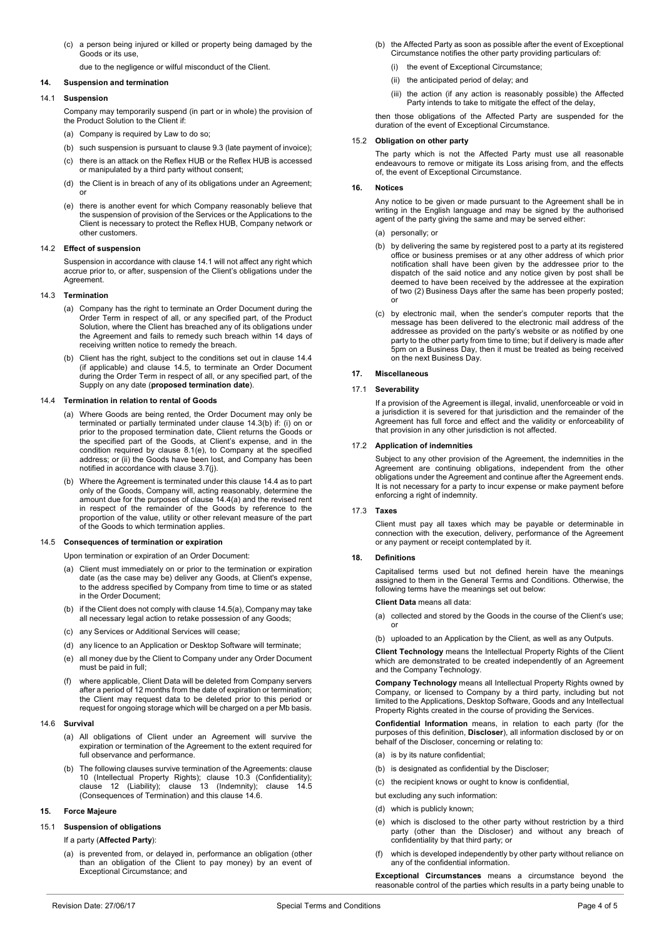(c) a person being injured or killed or property being damaged by the Goods or its use,

due to the negligence or wilful misconduct of the Client.

## **14. Suspension and termination**

### <span id="page-3-3"></span>14.1 **Suspension**

Company may temporarily suspend (in part or in whole) the provision of the Product Solution to the Client if:

- (a) Company is required by Law to do so;
- (b) such suspension is pursuant to claus[e 9.3](#page-2-5) (late payment of invoice);
- (c) there is an attack on the Reflex HUB or the Reflex HUB is accessed or manipulated by a third party without consent;
- (d) the Client is in breach of any of its obligations under an Agreement; or
- (e) there is another event for which Company reasonably believe that the suspension of provision of the Services or the Applications to the Client is necessary to protect the Reflex HUB, Company network or other customers.

#### 14.2 **Effect of suspension**

Suspension in accordance with claus[e 14.1](#page-3-3) will not affect any right which accrue prior to, or after, suspension of the Client's obligations under the Agreement.

#### <span id="page-3-0"></span>14.3 **Termination**

- (a) Company has the right to terminate an Order Document during the Order Term in respect of all, or any specified part, of the Product Solution, where the Client has breached any of its obligations under the Agreement and fails to remedy such breach within 14 days of receiving written notice to remedy the breach.
- <span id="page-3-4"></span>(b) Client has the right, subject to the conditions set out in clause [14.4](#page-3-1) (if applicable) and clause [14.5,](#page-3-2) to terminate an Order Document during the Order Term in respect of all, or any specified part, of the Supply on any date (**proposed termination date**).

#### <span id="page-3-5"></span><span id="page-3-1"></span>14.4 **Termination in relation to rental of Goods**

- (a) Where Goods are being rented, the Order Document may only be terminated or partially terminated under claus[e 14.3\(b\)](#page-3-4) if: (i) on or prior to the proposed termination date, Client returns the Goods or the specified part of the Goods, at Client's expense, and in the condition required by clause [8.1\(e\),](#page-2-6) to Company at the specified address; or (ii) the Goods have been lost, and Company has been notified in accordance with clause [3.7\(j\).](#page-1-2)
- (b) Where the Agreement is terminated under this claus[e 14.4](#page-3-1) as to part only of the Goods, Company will, acting reasonably, determine the amount due for the purposes of claus[e 14.4\(a\)](#page-3-5) and the revised rent in respect of the remainder of the Goods by reference to the proportion of the value, utility or other relevant measure of the part of the Goods to which termination applies.

### <span id="page-3-6"></span><span id="page-3-2"></span>14.5 **Consequences of termination or expiration**

Upon termination or expiration of an Order Document:

- (a) Client must immediately on or prior to the termination or expiration date (as the case may be) deliver any Goods, at Client's expense, to the address specified by Company from time to time or as stated in the Order Document;
- (b) if the Client does not comply with claus[e 14.5\(a\),](#page-3-6) Company may take all necessary legal action to retake possession of any Goods;
- (c) any Services or Additional Services will cease;
- (d) any licence to an Application or Desktop Software will terminate;
- (e) all money due by the Client to Company under any Order Document must be paid in full;
- where applicable, Client Data will be deleted from Company servers after a period of 12 months from the date of expiration or termination; the Client may request data to be deleted prior to this period or request for ongoing storage which will be charged on a per Mb basis.

#### <span id="page-3-7"></span>14.6 **Survival**

- (a) All obligations of Client under an Agreement will survive the expiration or termination of the Agreement to the extent required for full observance and performance.
- (b) The following clauses survive termination of the Agreements: clause [10](#page-2-7) (Intellectual Property Rights); clause [10.3](#page-2-0) (Confidentiality); clause [12](#page-2-8) (Liability); clause [13](#page-2-9) (Indemnity); clause [14.5](#page-3-2) (Consequences of Termination) and this clause [14.6.](#page-3-7)

## **15. Force Majeure**

## 15.1 **Suspension of obligations**

### If a party (**Affected Party**):

(a) is prevented from, or delayed in, performance an obligation (other than an obligation of the Client to pay money) by an event of Exceptional Circumstance; and

- (b) the Affected Party as soon as possible after the event of Exceptional Circumstance notifies the other party providing particulars of:
	- (i) the event of Exceptional Circumstance;
	- (ii) the anticipated period of delay; and
	- (iii) the action (if any action is reasonably possible) the Affected Party intends to take to mitigate the effect of the delay,

then those obligations of the Affected Party are suspended for the duration of the event of Exceptional Circumstance.

## 15.2 **Obligation on other party**

The party which is not the Affected Party must use all reasonable endeavours to remove or mitigate its Loss arising from, and the effects of, the event of Exceptional Circumstance.

### **16. Notices**

Any notice to be given or made pursuant to the Agreement shall be in writing in the English language and may be signed by the authorised agent of the party giving the same and may be served either:

- (a) personally; or
- (b) by delivering the same by registered post to a party at its registered office or business premises or at any other address of which prior notification shall have been given by the addressee prior to the dispatch of the said notice and any notice given by post shall be deemed to have been received by the addressee at the expiration of two (2) Business Days after the same has been properly posted; or
- (c) by electronic mail, when the sender's computer reports that the message has been delivered to the electronic mail address of the addressee as provided on the party's website or as notified by one party to the other party from time to time; but if delivery is made after 5pm on a Business Day, then it must be treated as being received on the next Business Day.

### **17. Miscellaneous**

## 17.1 **Severability**

If a provision of the Agreement is illegal, invalid, unenforceable or void in a jurisdiction it is severed for that jurisdiction and the remainder of the Agreement has full force and effect and the validity or enforceability of that provision in any other jurisdiction is not affected.

### 17.2 **Application of indemnities**

Subject to any other provision of the Agreement, the indemnities in the Agreement are continuing obligations, independent from the other obligations under the Agreement and continue after the Agreement ends. It is not necessary for a party to incur expense or make payment before enforcing a right of indemnity.

## 17.3 **Taxes**

Client must pay all taxes which may be payable or determinable in connection with the execution, delivery, performance of the Agreement or any payment or receipt contemplated by it.

## **18. Definitions**

Capitalised terms used but not defined herein have the meanings assigned to them in the General Terms and Conditions. Otherwise, the following terms have the meanings set out below:

#### **Client Data** means all data:

- (a) collected and stored by the Goods in the course of the Client's use; or
- (b) uploaded to an Application by the Client, as well as any Outputs.

**Client Technology** means the Intellectual Property Rights of the Client which are demonstrated to be created independently of an Agreement and the Company Technology.

**Company Technology** means all Intellectual Property Rights owned by Company, or licensed to Company by a third party, including but not limited to the Applications, Desktop Software, Goods and any Intellectual Property Rights created in the course of providing the Services.

**Confidential Information** means, in relation to each party (for the purposes of this definition, **Discloser**), all information disclosed by or on behalf of the Discloser, concerning or relating to:

- (a) is by its nature confidential;
- (b) is designated as confidential by the Discloser;
- (c) the recipient knows or ought to know is confidential,
- but excluding any such information:
- (d) which is publicly known;
- (e) which is disclosed to the other party without restriction by a third party (other than the Discloser) and without any breach of confidentiality by that third party; or
- (f) which is developed independently by other party without reliance on any of the confidential information.

**Exceptional Circumstances** means a circumstance beyond the reasonable control of the parties which results in a party being unable to